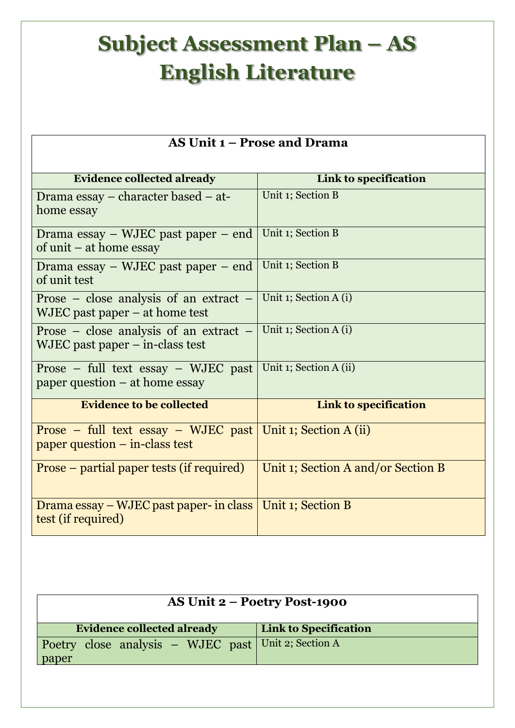## **Subject Assessment Plan – AS English Literature**

| <b>AS Unit 1 – Prose and Drama</b>                                            |                                    |  |
|-------------------------------------------------------------------------------|------------------------------------|--|
| <b>Evidence collected already</b>                                             | Link to specification              |  |
| Drama essay – character based – at-<br>home essay                             | Unit 1; Section B                  |  |
| Drama essay $-$ WJEC past paper $-$ end<br>of unit $-$ at home essay          | Unit 1; Section B                  |  |
| Drama essay – WJEC past paper – end<br>of unit test                           | Unit 1; Section B                  |  |
| Prose – close analysis of an extract –<br>$WJEC$ past paper $-$ at home test  | Unit 1; Section A (i)              |  |
| Prose – close analysis of an extract –<br>$WJEC$ past paper $-$ in-class test | Unit 1; Section A (i)              |  |
| Prose $-$ full text essay $-$ WJEC past<br>paper question $-$ at home essay   | Unit 1; Section A (ii)             |  |
| <b>Evidence to be collected</b>                                               | Link to specification              |  |
| Prose – full text essay – WJEC past<br>paper question $-$ in-class test       | Unit 1; Section A (ii)             |  |
| Prose – partial paper tests (if required)                                     | Unit 1; Section A and/or Section B |  |
| Drama essay – WJEC past paper- in class<br>test (if required)                 | Unit 1; Section B                  |  |

| <b>AS Unit 2 – Poetry Post-1900</b>                          |                              |  |
|--------------------------------------------------------------|------------------------------|--|
| <b>Evidence collected already</b>                            | <b>Link to Specification</b> |  |
| Poetry close analysis – WJEC past Unit 2; Section A<br>paper |                              |  |